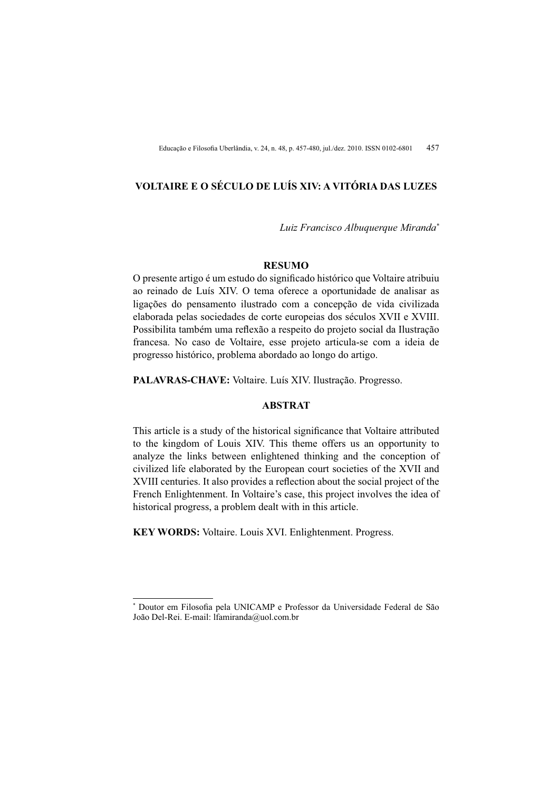## **YOLTAIRE E O SÉCULO DE LUÍS XIV: A VITÓRIA DAS LUZES**

*Luiz Francisco Albuquerque Miranda\**

## **RESUMO**

O presente artigo é um estudo do significado histórico que Voltaire atribuiu ao reinado de Luís XIV. O tema oferece a oportunidade de analisar as ligações do pensamento ilustrado com a concepção de vida civilizada elaborada pelas sociedades de corte europeias dos séculos XVII e XVIII. Possibilita também uma reflexão a respeito do projeto social da Ilustração francesa. No caso de Voltaire, esse projeto articula-se com a ideia de progresso histórico, problema abordado ao longo do artigo.

**PALAVRAS-CHAVE:** Voltaire. Luís XIV. Ilustração. Progresso.

## **ABSTRAT**

This article is a study of the historical significance that Voltaire attributed to the kingdom of Louis XIV. This theme offers us an opportunity to analyze the links between enlightened thinking and the conception of civilized life elaborated by the European court societies of the XVII and XVIII centuries. It also provides a reflection about the social project of the French Enlightenment. In Voltaire's case, this project involves the idea of historical progress, a problem dealt with in this article.

**KEY WORDS:** Voltaire. Louis XVI. Enlightenment. Progress.

<sup>\*</sup> Doutor em Filosofia pela UNICAMP e Professor da Universidade Federal de São João Del-Rei. E-mail: lfamiranda@uol.com.br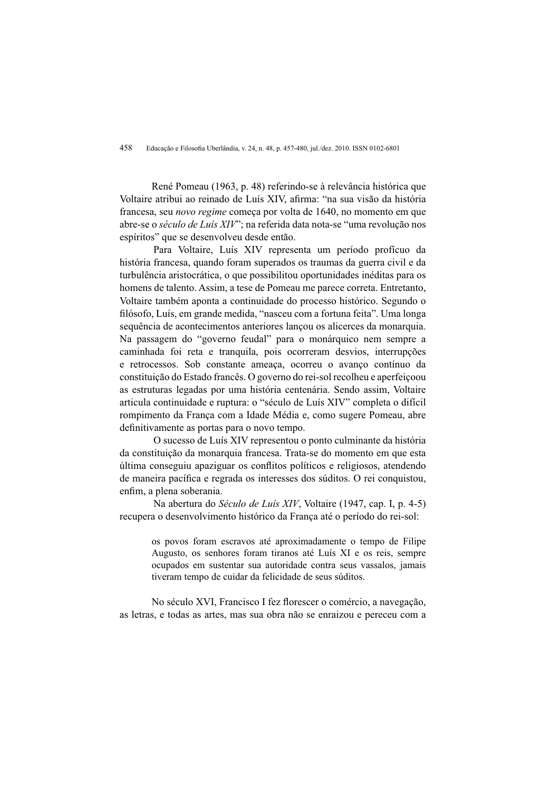458 Educação e Filosofia Uberlândia, v. 24, n. 48, p. 457-480, jul./dez. 2010. ISSN 0102-6801

René Pomeau (1963, p. 48) referindo-se à relevância histórica que Voltaire atribui ao reinado de Luís XIV, afirma: "na sua visão da história francesa, seu *novo regime* comeca por volta de 1640, no momento em que abre-se o *século de Luís XIV*": na referida data nota-se "uma revolução nos espíritos" que se desenvolveu desde então.

Para Voltaire, Luís XIV representa um período profícuo da história francesa, quando foram superados os traumas da guerra civil e da turbulência aristocrática, o que possibilitou oportunidades inéditas para os homens de talento. Assim, a tese de Pomeau me parece correta. Entretanto, Voltaire também aponta a continuidade do processo histórico. Segundo o filósofo, Luís, em grande medida, "nasceu com a fortuna feita". Uma longa sequência de acontecimentos anteriores lançou os alicerces da monarquia. Na passagem do "governo feudal" para o monárquico nem sempre a caminhada foi reta e tranquila, pois ocorreram desvios, interrupções e retrocessos. Sob constante ameaca, ocorreu o avanco contínuo da constituição do Estado francês. O governo do rei-sol recolheu e aperfeicoou as estruturas legadas por uma história centenária. Sendo assim. Voltaire articula continuidade e ruptura: o "século de Luís XIV" completa o difícil rompimento da França com a Idade Média e, como sugere Pomeau, abre definitivamente as portas para o novo tempo.

O sucesso de Luís XIV representou o ponto culminante da história da constituição da monarquia francesa. Trata-se do momento em que esta última conseguiu apaziguar os conflitos políticos e religiosos, atendendo de maneira pacífica e regrada os interesses dos súditos. O rei conquistou, enfim. a plena soberania.

Na abertura do Século de Luís XIV, Voltaire (1947, cap. I, p. 4-5) recupera o desenvolvimento histórico da França até o período do rei-sol:

> os povos foram escravos até aproximadamente o tempo de Filipe Augusto, os senhores foram tiranos até Luís XI e os reis, sempre ocupados em sustentar sua autoridade contra seus vassalos, jamais tiveram tempo de cuidar da felicidade de seus súditos.

No século XVI, Francisco I fez florescer o comércio, a navegação, as letras, e todas as artes, mas sua obra não se enraizou e pereceu com a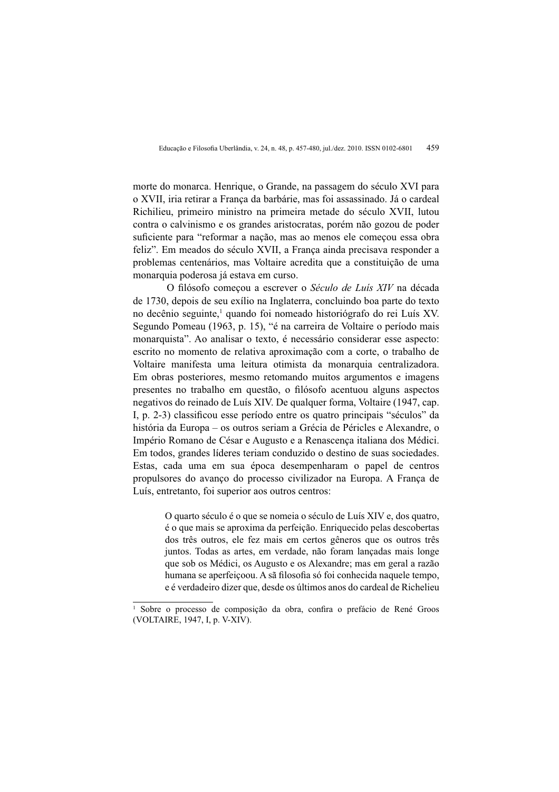morte do monarca. Henrique, o Grande, na passagem do século XVI para o XVII, iria retirar a França da barbárie, mas foi assassinado. Já o cardeal Richilieu, primeiro ministro na primeira metade do século XVII, lutou contra o calvinismo e os grandes aristocratas, porém não gozou de poder suficiente para "reformar a nação, mas ao menos ele começou essa obra feliz". Em meados do século XVII, a França ainda precisava responder a problemas centenários, mas Voltaire acredita que a constituição de uma monarquia poderosa já estava em curso.

O filósofo comecou a escrever o Século de Luís XIV na década de 1730, depois de seu exílio na Inglaterra, concluindo boa parte do texto no decênio seguinte,<sup>1</sup> quando foi nomeado historiógrafo do rei Luís XV. Segundo Pomeau (1963, p. 15), "é na carreira de Voltaire o período mais monarquista". Ao analisar o texto, é necessário considerar esse aspecto: escrito no momento de relativa aproximação com a corte, o trabalho de Voltaire manifesta uma leitura otimista da monarquia centralizadora. Em obras posteriores, mesmo retomando muitos argumentos e imagens presentes no trabalho em questão, o filósofo acentuou alguns aspectos negativos do reinado de Luís XIV. De qualquer forma, Voltaire (1947, cap. I, p. 2-3) classificou esse período entre os quatro principais "séculos" da história da Europa – os outros seriam a Grécia de Péricles e Alexandre, o Império Romano de César e Augusto e a Renascenca italiana dos Médici. Em todos, grandes líderes teriam conduzido o destino de suas sociedades. Estas, cada uma em sua época desempenharam o papel de centros propulsores do avanço do processo civilizador na Europa. A França de Luís, entretanto, foi superior aos outros centros:

> O quarto século é o que se nomeia o século de Luís XIV e, dos quatro, é o que mais se aproxima da perfeição. Enriquecido pelas descobertas dos três outros, ele fez mais em certos gêneros que os outros três juntos. Todas as artes, em verdade, não foram lançadas mais longe que sob os Médici, os Augusto e os Alexandre; mas em geral a razão humana se aperfeiçõe A sã filosofia só foi conhecida naquele tempo, e é verdadeiro dizer que, desde os últimos anos do cardeal de Richelieu

Sobre o processo de composição da obra, confira o prefácio de René Groos (VOLTAIRE, 1947, I, p. V-XIV).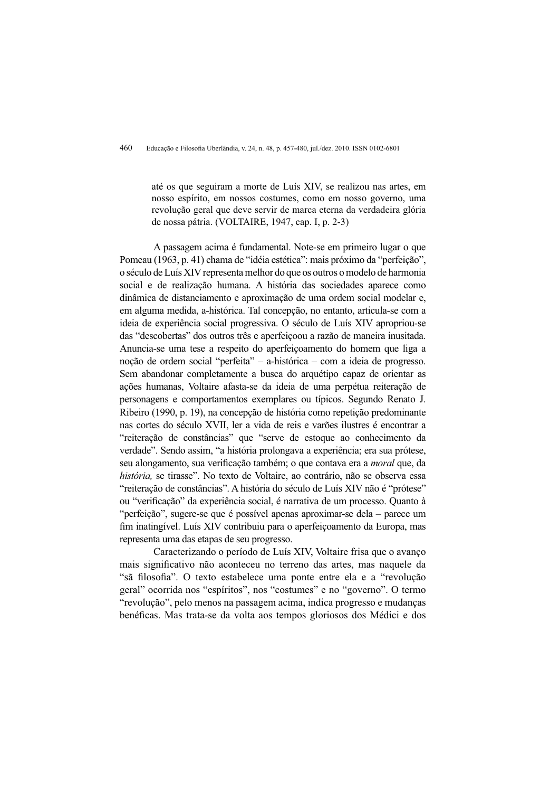até os que seguiram a morte de Luís XIV, se realizou nas artes, em nosso espírito, em nossos costumes, como em nosso governo, uma revolução geral que deve servir de marca eterna da verdadeira glória de nossa pátria. (VOLTAIRE, 1947, cap. I, p. 2-3)

A passagem acima é fundamental. Note-se em primeiro lugar o que Pomeau (1963, p. 41) chama de "idéia estética": mais próximo da "perfeição", o século de Luís XIV representa melhor do que os outros o modelo de harmonia social e de realização humana. A história das sociedades aparece como dinâmica de distanciamento e aproximação de uma ordem social modelar e, em alguma medida, a-histórica. Tal concepção, no entanto, articula-se com a ideia de experiência social progressiva. O século de Luís XIV apropriou-se das "descobertas" dos outros três e aperfeico ou a razão de maneira inusitada. Anuncia-se uma tese a respeito do aperfeicoamento do homem que liga a noção de ordem social "perfeita" – a-histórica – com a ideia de progresso. Sem abandonar completamente a busca do arquétipo capaz de orientar as ações humanas, Voltaire afasta-se da ideia de uma perpétua reiteração de personagens e comportamentos exemplares ou típicos. Segundo Renato J. Ribeiro (1990, p. 19), na concepção de história como repetição predominante nas cortes do século XVII, ler a vida de reis e varões ilustres é encontrar a "reiteração de constâncias" que "serve de estoque ao conhecimento da verdade". Sendo assim, "a história prolongava a experiência; era sua prótese, seu alongamento, sua verificação também; o que contava era a *moral* que, da história, se tirasse". No texto de Voltaire, ao contrário, não se observa essa "reiteração de constâncias". A história do século de Luís XIV não é "prótese" ou "verificação" da experiência social, é narrativa de um processo. Quanto à "perfeição", sugere-se que é possível apenas aproximar-se dela – parece um fim inatingível. Luís XIV contribuiu para o aperfeiçoamento da Europa, mas representa uma das etapas de seu progresso.

Caracterizando o período de Luís XIV, Voltaire frisa que o avanço mais significativo não aconteceu no terreno das artes, mas naquele da "sã filosofia". O texto estabelece uma ponte entre ela e a "revolução" geral" ocorrida nos "espíritos", nos "costumes" e no "governo". O termo "revolução", pelo menos na passagem acima, indica progresso e mudanças benéficas. Mas trata-se da volta aos tempos gloriosos dos Médici e dos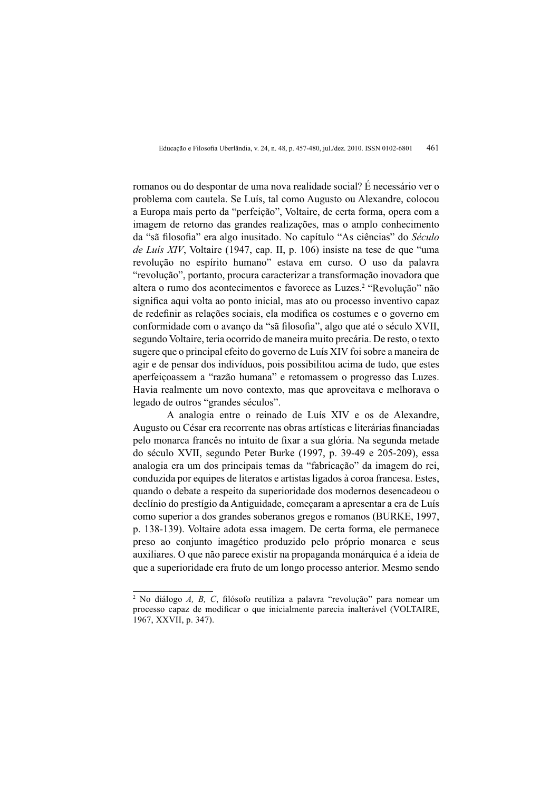romanos ou do despontar de uma nova realidade social? É necessário ver o problema com cautela. Se Luís, tal como Augusto ou Alexandre, colocou a Europa mais perto da "perfeição", Voltaire, de certa forma, opera com a imagem de retorno das grandes realizações, mas o amplo conhecimento da "sã filosofia" era algo inusitado. No capítulo "As ciências" do Século de Luís XIV, Voltaire (1947, cap. II, p. 106) insiste na tese de que "uma revolução no espírito humano" estava em curso. O uso da palavra "revolução", portanto, procura caracterizar a transformação inovadora que altera o rumo dos acontecimentos e favorece as Luzes.<sup>2</sup> "Revolução" não significa aqui volta ao ponto inicial, mas ato ou processo inventivo capaz de redefinir as relações sociais, ela modifica os costumes e o governo em conformidade com o avanco da "sã filosofia", algo que até o século XVII, segundo Voltaire, teria ocorrido de maneira muito precária. De resto, o texto sugere que o principal efeito do governo de Luís XIV foi sobre a maneira de agir e de pensar dos indivíduos, pois possibilitou acima de tudo, que estes aperfeicoassem a "razão humana" e retomassem o progresso das Luzes. Havia realmente um novo contexto, mas que aproveitava e melhorava o legado de outros "grandes séculos".

A analogia entre o reinado de Luís XIV e os de Alexandre, Augusto ou César era recorrente nas obras artísticas e literárias financiadas pelo monarca francês no intuito de fixar a sua glória. Na segunda metade do século XVII, segundo Peter Burke (1997, p. 39-49 e 205-209), essa analogia era um dos principais temas da "fabricação" da imagem do rei, conduzida por equipes de literatos e artistas ligados à coroa francesa. Estes, quando o debate a respeito da superioridade dos modernos desencadeou o declínio do prestígio da Antiguidade, comecaram a apresentar a era de Luís como superior a dos grandes soberanos gregos e romanos (BURKE, 1997, p. 138-139). Voltaire adota essa imagem. De certa forma, ele permanece preso ao conjunto imagético produzido pelo próprio monarca e seus auxiliares. O que não parece existir na propaganda monárquica é a ideia de que a superioridade era fruto de um longo processo anterior. Mesmo sendo

<sup>&</sup>lt;sup>2</sup> No diálogo A, B, C, filósofo reutiliza a palavra "revolução" para nomear um processo capaz de modificar o que inicialmente parecia inalterável (VOLTAIRE, 1967, XXVII, p. 347).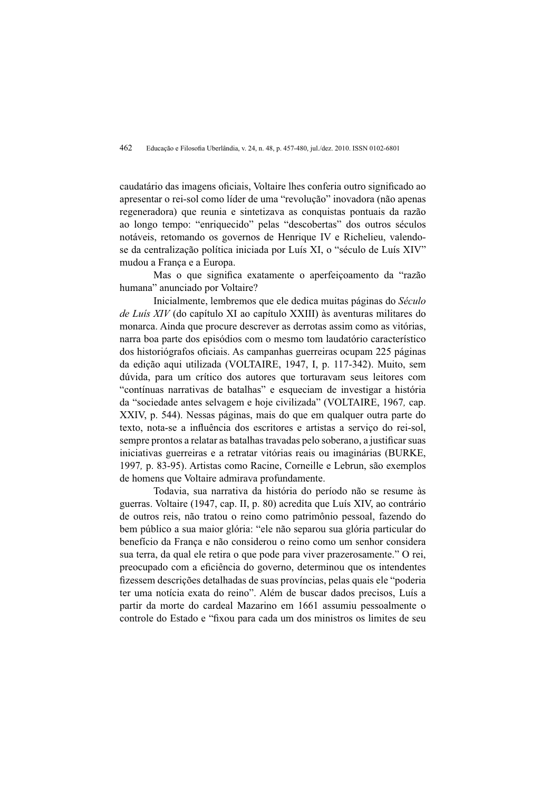caudatário das imagens oficiais, Voltaire lhes conferia outro significado ao apresentar o rei-sol como líder de uma "revolução" inovadora (não apenas regeneradora) que reunia e sintetizava as conquistas pontuais da razão ao longo tempo: "enriquecido" pelas "descobertas" dos outros séculos notáveis, retomando os governos de Henrique IV e Richelieu, valendose da centralização política iniciada por Luís XI, o "século de Luís XIV" mudou a França e a Europa.

Mas o que significa exatamente o aperfeiçoamento da "razão humana" anunciado por Voltaire?

Inicialmente, lembremos que ele dedica muitas páginas do Século de Luís XIV (do capítulo XI ao capítulo XXIII) às aventuras militares do monarca. Ainda que procure descrever as derrotas assim como as vitórias. narra boa parte dos episódios com o mesmo tom laudatório característico dos historiógrafos oficiais. As campanhas guerreiras ocupam 225 páginas da edição aqui utilizada (VOLTAIRE, 1947, I, p. 117-342). Muito, sem dúvida, para um crítico dos autores que torturavam seus leitores com "contínuas narrativas de batalhas" e esqueciam de investigar a história da "sociedade antes selvagem e hoje civilizada" (VOLTAIRE, 1967, cap. XXIV, p. 544). Nessas páginas, mais do que em qualquer outra parte do texto, nota-se a influência dos escritores e artistas a servico do rei-sol. sempre prontos a relatar as batalhas travadas pelo soberano, a justificar suas iniciativas guerreiras e a retratar vitórias reais ou imaginárias (BURKE, 1997, p. 83-95). Artistas como Racine, Corneille e Lebrun, são exemplos de homens que Voltaire admirava profundamente.

Todavia, sua narrativa da história do período não se resume às guerras. Voltaire (1947, cap. II, p. 80) acredita que Luís XIV, ao contrário de outros reis, não tratou o reino como patrimônio pessoal, fazendo do bem público a sua maior glória: "ele não separou sua glória particular do benefício da Franca e não considerou o reino como um senhor considera sua terra, da qual ele retira o que pode para viver prazerosamente." O rei, preocupado com a eficiência do governo, determinou que os intendentes fizessem descrições detalhadas de suas províncias, pelas quais ele "poderia" ter uma notícia exata do reino". Além de buscar dados precisos, Luís a partir da morte do cardeal Mazarino em 1661 assumiu pessoalmente o controle do Estado e "fixou para cada um dos ministros os limites de seu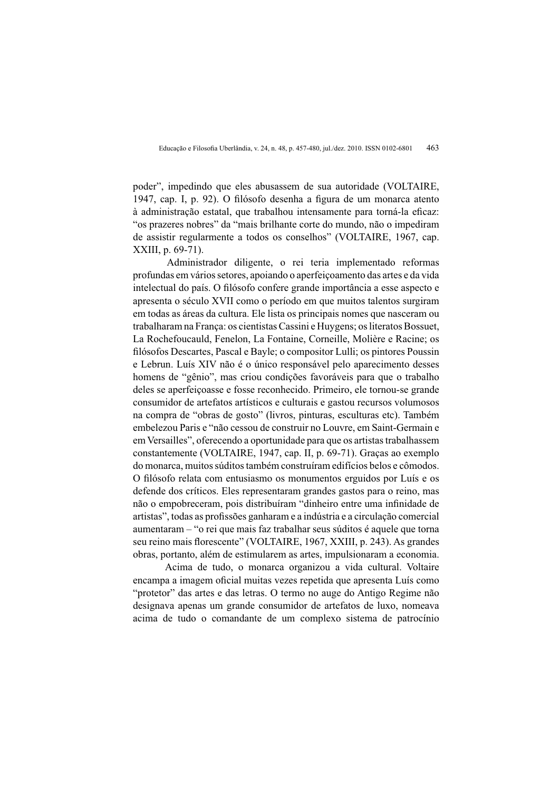poder", impedindo que eles abusassem de sua autoridade (VOLTAIRE, 1947, cap. I, p. 92). O filósofo desenha a figura de um monarca atento à administração estatal, que trabalhou intensamente para torná-la eficaz: "os prazeres nobres" da "mais brilhante corte do mundo, não o impediram de assistir regularmente a todos os conselhos" (VOLTAIRE, 1967, cap. XXIII. p. 69-71).

Administrador diligente, o rei teria implementado reformas profundas em vários setores, apoiando o aperfeicoamento das artes e da vida intelectual do país. O filósofo confere grande importância a esse aspecto e apresenta o século XVII como o período em que muitos talentos surgiram em todas as áreas da cultura. Ele lista os principais nomes que nasceram ou trabalharam na Franca: os cientistas Cassini e Huvgens: os literatos Bossuet. La Rochefoucauld, Fenelon, La Fontaine, Corneille, Molière e Racine; os filósofos Descartes, Pascal e Bayle; o compositor Lulli; os pintores Poussin e Lebrun. Luís XIV não é o único responsável pelo aparecimento desses homens de "gênio", mas criou condições favoráveis para que o trabalho deles se aperfeicoasse e fosse reconhecido. Primeiro, ele tornou-se grande consumidor de artefatos artísticos e culturais e gastou recursos volumosos na compra de "obras de gosto" (livros, pinturas, esculturas etc). Também embelezou Paris e "não cessou de construir no Louvre, em Saint-Germain e em Versailles", oferecendo a oportunidade para que os artistas trabalhassem constantemente (VOLTAIRE, 1947, cap. II, p. 69-71). Graças ao exemplo do monarca, muitos súditos também construíram edifícios belos e cômodos. O filósofo relata com entusiasmo os monumentos erguidos por Luís e os defende dos críticos. Eles representaram grandes gastos para o reino, mas não o empobreceram, pois distribuíram "dinheiro entre uma infinidade de artistas", todas as profissões ganharam e a indústria e a circulação comercial aumentaram – "o rei que mais faz trabalhar seus súditos é aquele que torna seu reino mais florescente" (VOLTAIRE, 1967, XXIII, p. 243). As grandes obras, portanto, além de estimularem as artes, impulsionaram a economia.

Acima de tudo, o monarca organizou a vida cultural. Voltaire encampa a imagem oficial muitas vezes repetida que apresenta Luís como "protetor" das artes e das letras. O termo no auge do Antigo Regime não designava apenas um grande consumidor de artefatos de luxo, nomeava acima de tudo o comandante de um complexo sistema de patrocínio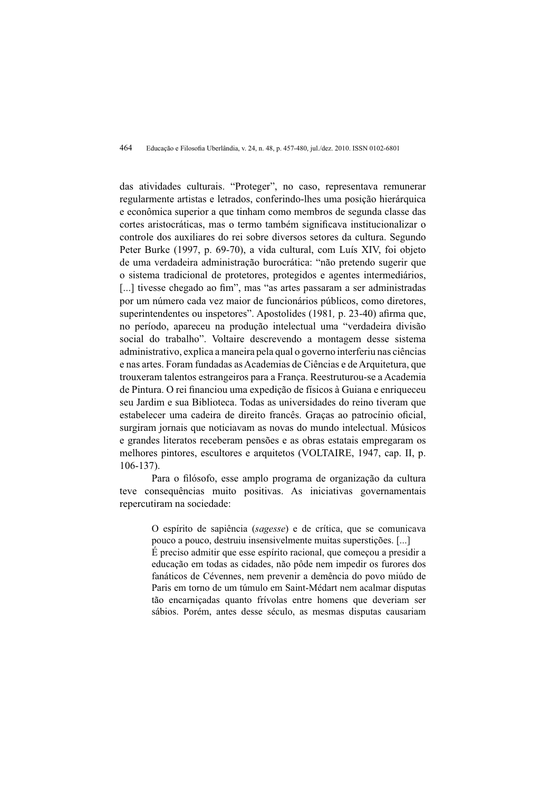das atividades culturais. "Proteger", no caso, representava remunerar regularmente artistas e letrados, conferindo-lhes uma posição hierárquica e econômica superior a que tinham como membros de segunda classe das cortes aristocráticas, mas o termo também significava institucionalizar o controle dos auxiliares do rei sobre diversos setores da cultura. Segundo Peter Burke (1997, p. 69-70), a vida cultural, com Luís XIV, foi objeto de uma verdadeira administração burocrática: "não pretendo sugerir que o sistema tradicional de protetores, protegidos e agentes intermediários, [...] tivesse chegado ao fim", mas "as artes passaram a ser administradas por um número cada vez maior de funcionários públicos, como diretores, superintendentes ou inspetores". Apostolides (1981, p. 23-40) afirma que, no período, apareceu na produção intelectual uma "verdadeira divisão social do trabalho". Voltaire descrevendo a montagem desse sistema administrativo, explica a maneira pela qual o governo interferiu nas ciências e nas artes. Foram fundadas as Academias de Ciências e de Arquitetura, que trouxeram talentos estrangeiros para a Franca. Reestruturou-se a Academia de Pintura. O rei financiou uma expedição de físicos à Guiana e enriqueceu seu Jardim e sua Biblioteca. Todas as universidades do reino tiveram que estabelecer uma cadeira de direito francês. Graças ao patrocínio oficial, surgiram iornais que noticiavam as novas do mundo intelectual. Músicos e grandes literatos receberam pensões e as obras estatais empregaram os melhores pintores, escultores e arquitetos (VOLTAIRE, 1947, cap. II, p.  $106 - 137$ .

Para o filósofo, esse amplo programa de organização da cultura teve consequências muito positivas. As iniciativas governamentais repercutiram na sociedade:

O espírito de sapiência (sagesse) e de crítica, que se comunicava pouco a pouco, destruiu insensivelmente muitas superstições. [...] É preciso admitir que esse espírito racional, que começou a presidir a educação em todas as cidades, não pôde nem impedir os furores dos

fanáticos de Cévennes, nem prevenir a demência do povo miúdo de Paris em torno de um túmulo em Saint-Médart nem acalmar disputas tão encarniçadas quanto frívolas entre homens que deveriam ser sábios. Porém, antes desse século, as mesmas disputas causariam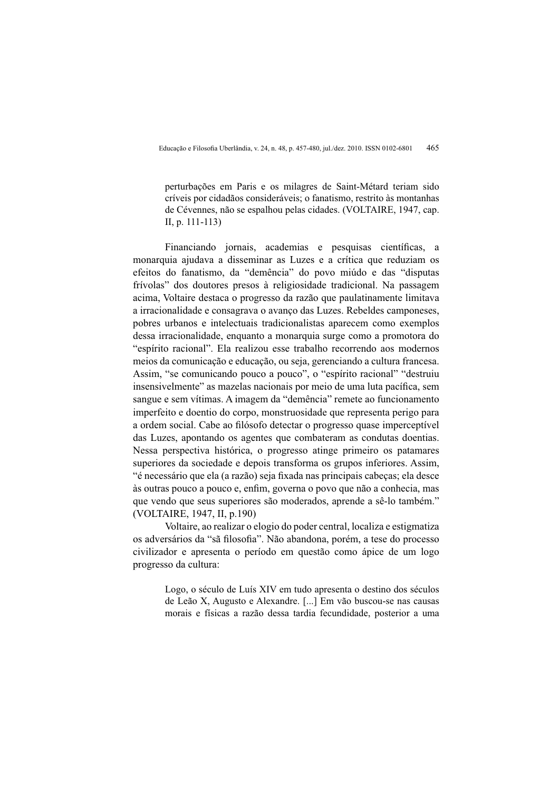perturbações em Paris e os milagres de Saint-Métard teriam sido críveis por cidadãos consideráveis; o fanatismo, restrito às montanhas de Cévennes, não se espalhou pelas cidades. (VOLTAIRE, 1947, cap. II, p.  $111-113$ 

Financiando jornais, academias e pesquisas científicas, a monarquia ajudava a disseminar as Luzes e a crítica que reduziam os efeitos do fanatismo, da "demência" do povo miúdo e das "disputas frívolas" dos doutores presos à religiosidade tradicional. Na passagem acima, Voltaire destaca o progresso da razão que paulatinamente limitava a irracionalidade e consagrava o avanço das Luzes. Rebeldes camponeses, pobres urbanos e intelectuais tradicionalistas aparecem como exemplos dessa irracionalidade, enquanto a monarquia surge como a promotora do "espírito racional". Ela realizou esse trabalho recorrendo aos modernos meios da comunicação e educação, ou seja, gerenciando a cultura francesa. Assim, "se comunicando pouco a pouco", o "espírito racional" "destruiu insensivelmente" as mazelas nacionais por meio de uma luta pacífica, sem sangue e sem vítimas. A imagem da "demência" remete ao funcionamento imperfeito e doentio do corpo, monstruosidade que representa perigo para a ordem social. Cabe ao filósofo detectar o progresso quase imperceptível das Luzes, apontando os agentes que combateram as condutas doentias. Nessa perspectiva histórica, o progresso atinge primeiro os patamares superiores da sociedade e depois transforma os grupos inferiores. Assim, "é necessário que ela (a razão) seja fixada nas principais cabeças; ela desce às outras pouco a pouco e, enfim, governa o povo que não a conhecia, mas que vendo que seus superiores são moderados, aprende a sê-lo também." (VOLTAIRE, 1947, II, p.190)

Voltaire, ao realizar o elogio do poder central, localiza e estigmatiza os adversários da "sã filosofia". Não abandona, porém, a tese do processo civilizador e apresenta o período em questão como ápice de um logo progresso da cultura:

> Logo, o século de Luís XIV em tudo apresenta o destino dos séculos de Leão X, Augusto e Alexandre. [...] Em vão buscou-se nas causas morais e físicas a razão dessa tardia fecundidade, posterior a uma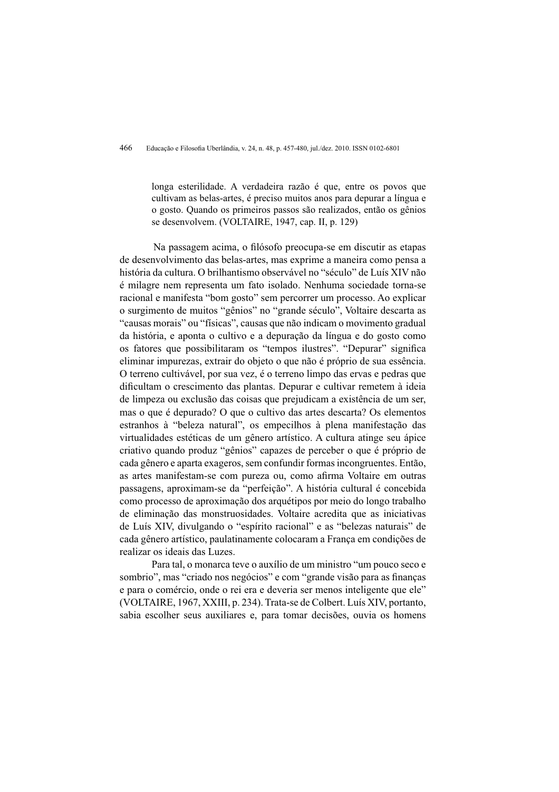longa esterilidade. A verdadeira razão é que, entre os povos que cultivam as belas-artes, é preciso muitos anos para depurar a língua e o gosto. Quando os primeiros passos são realizados, então os gênios se desenvolvem. (VOLTAIRE, 1947, cap. II, p. 129)

Na passagem acima, o filósofo preocupa-se em discutir as etapas de desenvolvimento das belas-artes, mas exprime a maneira como pensa a história da cultura. O brilhantismo observável no "século" de Luís XIV não é milagre nem representa um fato isolado. Nenhuma sociedade torna-se racional e manifesta "bom gosto" sem percorrer um processo. Ao explicar o surgimento de muitos "gênios" no "grande século", Voltaire descarta as "causas morais" ou "físicas", causas que não indicam o movimento gradual da história, e aponta o cultivo e a depuração da língua e do gosto como os fatores que possibilitaram os "tempos ilustres". "Depurar" significa eliminar impurezas, extrair do objeto o que não é próprio de sua essência. O terreno cultivável, por sua vez, é o terreno limpo das ervas e pedras que dificultam o crescimento das plantas. Depurar e cultivar remetem à ideia de limpeza ou exclusão das coisas que prejudicam a existência de um ser, mas o que é depurado? O que o cultivo das artes descarta? Os elementos estranhos à "beleza natural", os empecilhos à plena manifestação das virtualidades estéticas de um gênero artístico. A cultura atinge seu ápice criativo quando produz "gênios" capazes de perceber o que é próprio de cada gênero e aparta exageros, sem confundir formas incongruentes. Então, as artes manifestam-se com pureza ou, como afirma Voltaire em outras passagens, aproximam-se da "perfeição". A história cultural é concebida como processo de aproximação dos arquétipos por meio do longo trabalho de eliminação das monstruosidades. Voltaire acredita que as iniciativas de Luís XIV, divulgando o "espírito racional" e as "belezas naturais" de cada gênero artístico, paulatinamente colocaram a França em condições de realizar os ideais das Luzes.

Para tal, o monarca teve o auxílio de um ministro "um pouco seco e sombrio", mas "criado nos negócios" e com "grande visão para as finanças e para o comércio, onde o rei era e deveria ser menos inteligente que ele" (VOLTAIRE, 1967, XXIII, p. 234). Trata-se de Colbert. Luís XIV, portanto, sabia escolher seus auxiliares e, para tomar decisões, ouvia os homens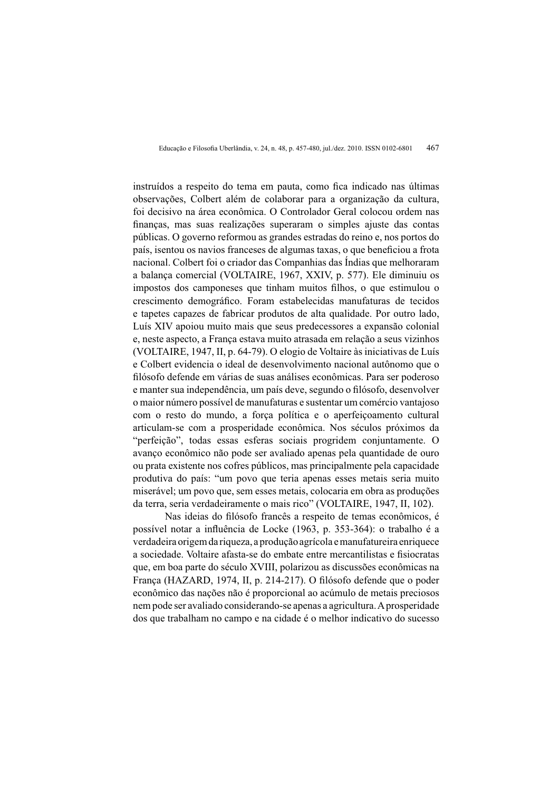instruídos a respeito do tema em pauta, como fica indicado nas últimas observações, Colbert além de colaborar para a organização da cultura, foi decisivo na área econômica. O Controlador Geral colocou ordem nas finanças, mas suas realizações superaram o simples ajuste das contas públicas. O governo reformou as grandes estradas do reino e, nos portos do país, isentou os navios franceses de algumas taxas, o que beneficiou a frota nacional. Colbert foi o criador das Companhias das Índias que melhoraram a balança comercial (VOLTAIRE, 1967, XXIV, p. 577). Ele diminuiu os impostos dos camponeses que tinham muitos filhos, o que estimulou o crescimento demográfico. Foram estabelecidas manufaturas de tecidos e tapetes capazes de fabricar produtos de alta qualidade. Por outro lado, Luís XIV apoiou muito mais que seus predecessores a expansão colonial e, neste aspecto, a França estava muito atrasada em relação a seus vizinhos (VOLTAIRE, 1947, II, p. 64-79). O elogio de Voltaire às iniciativas de Luís e Colbert evidencia o ideal de desenvolvimento nacional autônomo que o filósofo defende em várias de suas análises econômicas. Para ser poderoso e manter sua independência, um país deve, segundo o filósofo, desenvolver o maior número possível de manufaturas e sustentar um comércio vantajoso com o resto do mundo, a força política e o aperfeiçoamento cultural articulam-se com a prosperidade econômica. Nos séculos próximos da "perfeição", todas essas esferas sociais progridem conjuntamente. O avanço econômico não pode ser avaliado apenas pela quantidade de ouro ou prata existente nos cofres públicos, mas principalmente pela capacidade produtiva do país: "um povo que teria apenas esses metais seria muito miserável: um povo que, sem esses metais, colocaria em obra as produções da terra, seria verdadeiramente o mais rico" (VOLTAIRE, 1947, II, 102).

Nas ideias do filósofo francês a respeito de temas econômicos, é possível notar a influência de Locke (1963, p. 353-364): o trabalho é a verdadeira origem da riqueza, a produção agrícola e manufatureira enriquece a sociedade. Voltaire afasta-se do embate entre mercantilistas e fisiocratas que, em boa parte do século XVIII, polarizou as discussões econômicas na França (HAZARD, 1974, II, p. 214-217). O filósofo defende que o poder econômico das nações não é proporcional ao acúmulo de metais preciosos nem pode ser avaliado considerando-se apenas a agricultura. A prosperidade dos que trabalham no campo e na cidade é o melhor indicativo do sucesso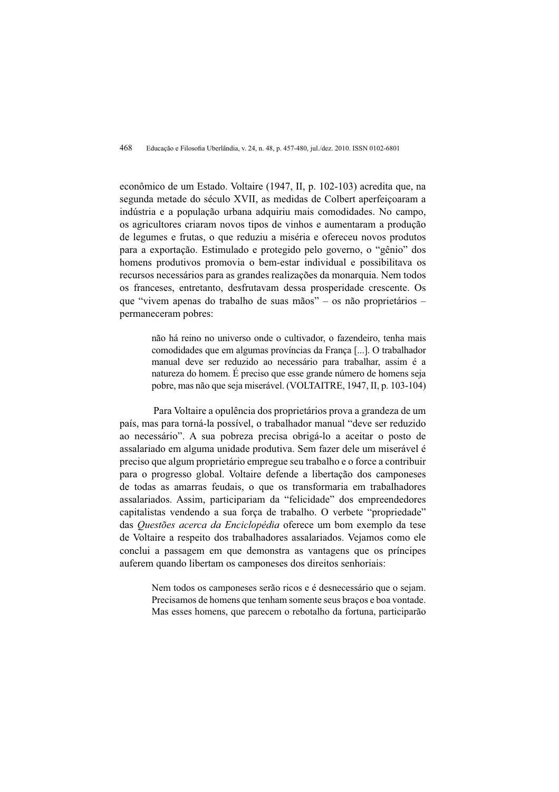econômico de um Estado. Voltaire (1947, II, p. 102-103) acredita que, na segunda metade do século XVII, as medidas de Colbert aperfeiçoaram a indústria e a população urbana adquiriu mais comodidades. No campo, os agricultores criaram novos tipos de vinhos e aumentaram a produção de legumes e frutas, o que reduziu a miséria e ofereceu novos produtos para a exportação. Estimulado e protegido pelo governo, o "gênio" dos homens produtivos promovia o bem-estar individual e possibilitava os recursos necessários para as grandes realizações da monarquia. Nem todos os franceses, entretanto, desfrutavam dessa prosperidade crescente. Os que "vivem apenas do trabalho de suas mãos" – os não proprietários – permaneceram pobres:

> não há reino no universo onde o cultivador, o fazendeiro, tenha mais comodidades que em algumas províncias da França [...]. O trabalhador manual deve ser reduzido ao necessário para trabalhar, assim é a natureza do homem. E preciso que esse grande número de homens seja pobre, mas não que seja miserável. (VOLTAITRE, 1947, II, p. 103-104)

Para Voltaire a opulência dos proprietários prova a grandeza de um país, mas para torná-la possível, o trabalhador manual "deve ser reduzido ao necessário". A sua pobreza precisa obrigá-lo a aceitar o posto de assalariado em alguma unidade produtiva. Sem fazer dele um miserável é preciso que algum proprietário empregue seu trabalho e o force a contribuir para o progresso global. Voltaire defende a libertação dos camponeses de todas as amarras feudais, o que os transformaria em trabalhadores assalariados. Assim, participariam da "felicidade" dos empreendedores capitalistas vendendo a sua forca de trabalho. O verbete "propriedade" das *Questões acerca da Enciclopédia* oferece um bom exemplo da tese de Voltaire a respeito dos trabalhadores assalariados. Vejamos como ele conclui a passagem em que demonstra as vantagens que os príncipes auferem quando libertam os camponeses dos direitos senhoriais:

> Nem todos os camponeses serão ricos e é desnecessário que o sejam. Precisamos de homens que tenham somente seus braços e boa vontade. Mas esses homens, que parecem o rebotalho da fortuna, participarão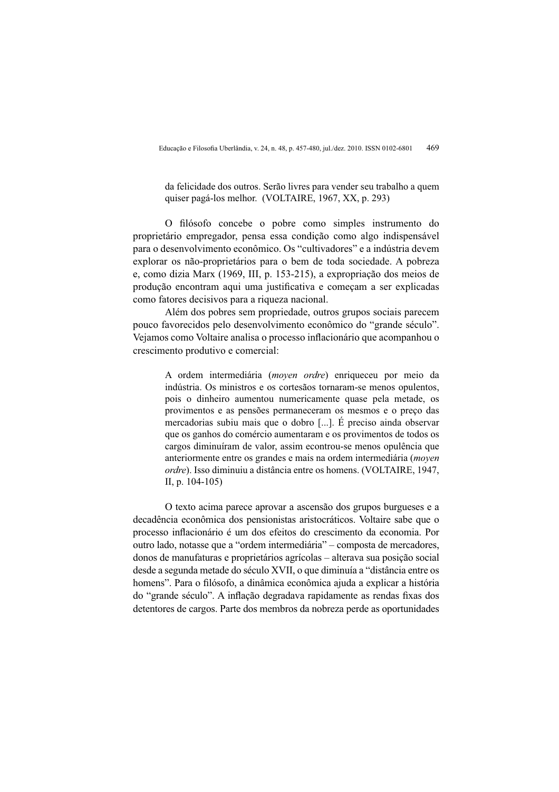da felicidade dos outros. Serão livres para vender seu trabalho a quem quiser pagá-los melhor. (VOLTAIRE, 1967, XX, p. 293)

O filósofo concebe o pobre como simples instrumento do proprietário empregador, pensa essa condição como algo indispensável para o desenvolvimento econômico. Os "cultivadores" e a indústria devem explorar os não-proprietários para o bem de toda sociedade. A pobreza e, como dizia Marx (1969, III, p. 153-215), a expropriação dos meios de produção encontram aqui uma justificativa e começam a ser explicadas como fatores decisivos para a riqueza nacional.

Além dos pobres sem propriedade, outros grupos sociais parecem pouco favorecidos pelo desenvolvimento econômico do "grande século". Vejamos como Voltaire analisa o processo inflacionário que acompanhou o crescimento produtivo e comercial:

> A ordem intermediária (moyen ordre) enriqueceu por meio da indústria. Os ministros e os cortesãos tornaram-se menos opulentos. pois o dinheiro aumentou numericamente quase pela metade, os provimentos e as pensões permaneceram os mesmos e o preco das mercadorias subiu mais que o dobro [...]. É preciso ainda observar que os ganhos do comércio aumentaram e os provimentos de todos os cargos diminuíram de valor, assim econtrou-se menos opulência que anteriormente entre os grandes e mais na ordem intermediária (moyen ordre). Isso diminuiu a distância entre os homens. (VOLTAIRE, 1947, II, p. 104-105)

O texto acima parece aprovar a ascensão dos grupos burgueses e a decadência econômica dos pensionistas aristocráticos. Voltaire sabe que o processo inflacionário é um dos efeitos do crescimento da economia. Por outro lado, notasse que a "ordem intermediária" – composta de mercadores, donos de manufaturas e proprietários agrícolas - alterava sua posição social desde a segunda metade do século XVII, o que diminuía a "distância entre os homens". Para o filósofo, a dinâmica econômica ajuda a explicar a história do "grande século". A inflação degradava rapidamente as rendas fixas dos detentores de cargos. Parte dos membros da nobreza perde as oportunidades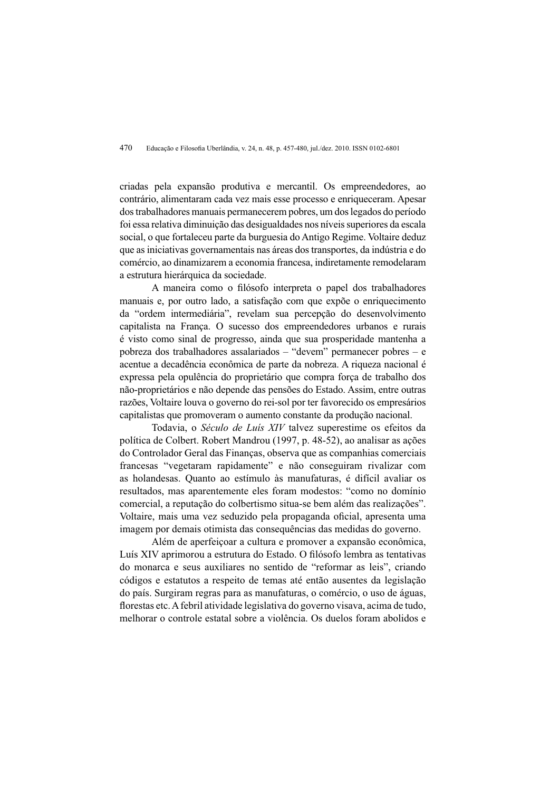criadas pela expansão produtiva e mercantil. Os empreendedores, ao contrário, alimentaram cada vez mais esse processo e enriqueceram. Apesar dos trabalhadores manuais permanecerem pobres, um dos legados do período foi essa relativa diminuição das desigualdades nos níveis superiores da escala social, o que fortaleceu parte da burguesia do Antigo Regime. Voltaire deduz que as iniciativas governamentais nas áreas dos transportes, da indústria e do comércio, ao dinamizarem a economia francesa, indiretamente remodelaram a estrutura hierárquica da sociedade.

A maneira como o filósofo interpreta o papel dos trabalhadores manuais e, por outro lado, a satisfação com que expõe o enriquecimento da "ordem intermediária", revelam sua percepção do desenvolvimento capitalista na Franca. O sucesso dos empreendedores urbanos e rurais é visto como sinal de progresso, ainda que sua prosperidade mantenha a pobreza dos trabalhadores assalariados - "devem" permanecer pobres - e acentue a decadência econômica de parte da nobreza. A riqueza nacional é expressa pela opulência do proprietário que compra força de trabalho dos não-proprietários e não depende das pensões do Estado. Assim, entre outras razões, Voltaire louva o governo do rei-sol por ter favorecido os empresários capitalistas que promoveram o aumento constante da produção nacional.

Todavia, o Século de Luís XIV talvez superestime os efeitos da política de Colbert. Robert Mandrou (1997, p. 48-52), ao analisar as ações do Controlador Geral das Finanças, observa que as companhias comerciais francesas "vegetaram rapidamente" e não conseguiram rivalizar com as holandesas. Quanto ao estímulo às manufaturas, é difícil avaliar os resultados, mas aparentemente eles foram modestos: "como no domínio comercial, a reputação do colbertismo situa-se bem além das realizações". Voltaire, mais uma vez seduzido pela propaganda oficial, apresenta uma imagem por demais otimista das consequências das medidas do governo.

Além de aperfeicoar a cultura e promover a expansão econômica. Luís XIV aprimorou a estrutura do Estado. O filósofo lembra as tentativas do monarca e seus auxiliares no sentido de "reformar as leis", criando códigos e estatutos a respeito de temas até então ausentes da legislação do país. Surgiram regras para as manufaturas, o comércio, o uso de águas, florestas etc. A febril atividade legislativa do governo visava, acima de tudo. melhorar o controle estatal sobre a violência. Os duelos foram abolidos e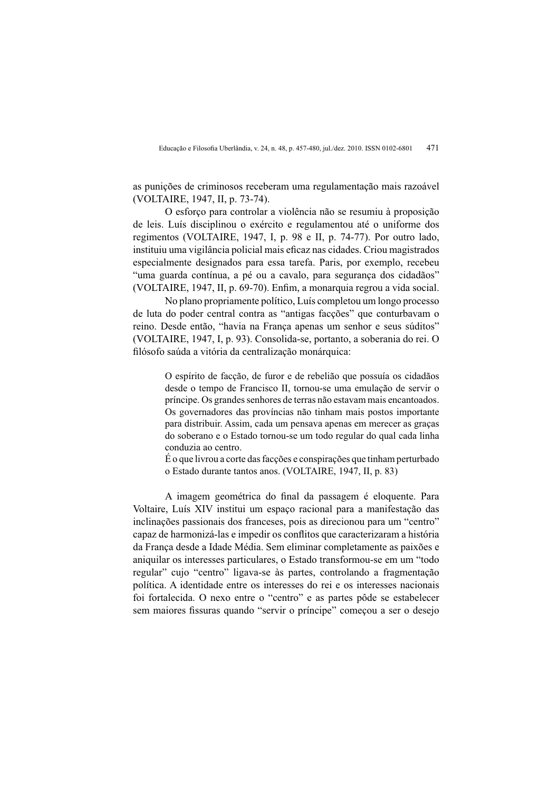as punições de criminosos receberam uma regulamentação mais razoável (VOLTAIRE, 1947, II, p. 73-74).

O esforco para controlar a violência não se resumiu à proposição de leis. Luís disciplinou o exército e regulamentou até o uniforme dos regimentos (VOLTAIRE, 1947, I, p. 98 e II, p. 74-77). Por outro lado, instituiu uma vigilância policial mais eficaz nas cidades. Criou magistrados especialmente designados para essa tarefa. Paris, por exemplo, recebeu "uma guarda contínua, a pé ou a cavalo, para segurança dos cidadãos" (VOLTAIRE, 1947, II, p. 69-70). Enfim, a monarquia regrou a vida social.

No plano propriamente político. Luís completou um longo processo de luta do poder central contra as "antigas facções" que conturbavam o reino. Desde então, "havia na Franca apenas um senhor e seus súditos" (VOLTAIRE, 1947, I, p. 93). Consolida-se, portanto, a soberania do rei. O filósofo saúda a vitória da centralização monárquica:

> O espírito de facção, de furor e de rebelião que possuía os cidadãos desde o tempo de Francisco II, tornou-se uma emulação de servir o príncipe. Os grandes senhores de terras não estavam mais encantoados. Os governadores das províncias não tinham mais postos importante para distribuir. Assim, cada um pensava apenas em merecer as graças do soberano e o Estado tornou-se um todo regular do qual cada linha conduzia ao centro.

> É o que livrou a corte das facções e conspirações que tinham perturbado o Estado durante tantos anos. (VOLTAIRE, 1947, II, p. 83)

A imagem geométrica do final da passagem é eloquente. Para Voltaire, Luís XIV institui um espaço racional para a manifestação das inclinações passionais dos franceses, pois as direcionou para um "centro" capaz de harmonizá-las e impedir os conflitos que caracterizaram a história da França desde a Idade Média. Sem eliminar completamente as paixões e aniquilar os interesses particulares, o Estado transformou-se em um "todo regular" cujo "centro" ligava-se às partes, controlando a fragmentação política. A identidade entre os interesses do rei e os interesses nacionais foi fortalecida. O nexo entre o "centro" e as partes pôde se estabelecer sem maiores fissuras quando "servir o príncipe" começou a ser o desejo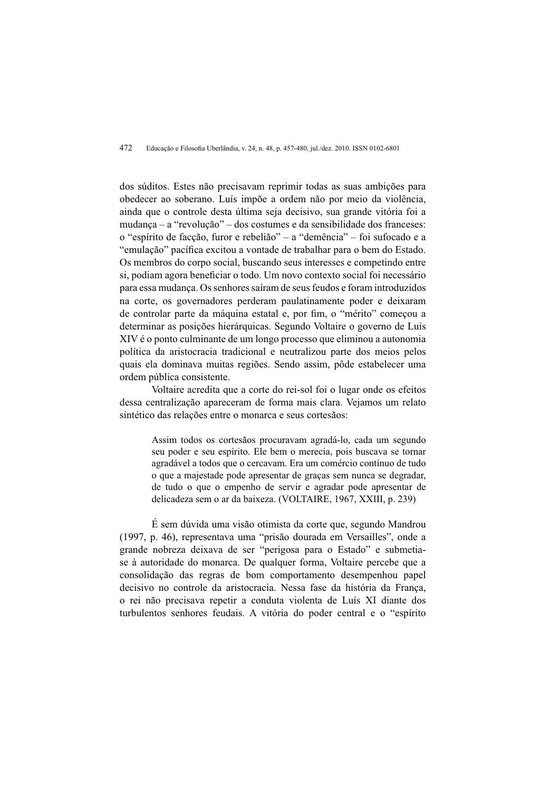dos súditos. Estes não precisavam reprimir todas as suas ambições para obedecer ao soberano. Luís impõe a ordem não por meio da violência, ainda que o controle desta última seja decisivo, sua grande vitória foi a mudança – a "revolução" – dos costumes e da sensibilidade dos franceses: o "espírito de facção, furor e rebelião" – a "demência" – foi sufocado e a "emulação" pacífica excitou a vontade de trabalhar para o bem do Estado. Os membros do corpo social, buscando seus interesses e competindo entre si, podiam agora beneficiar o todo. Um novo contexto social foi necessário para essa mudanca. Os senhores saíram de seus feudos e foram introduzidos na corte, os governadores perderam paulatinamente poder e deixaram de controlar parte da máquina estatal e, por fim, o "mérito" começou a determinar as posições hierárquicas. Segundo Voltaire o governo de Luís XIV é o ponto culminante de um longo processo que eliminou a autonomia política da aristocracia tradicional e neutralizou parte dos meios pelos quais ela dominava muitas regiões. Sendo assim, pôde estabelecer uma ordem pública consistente.

Voltaire acredita que a corte do rei-sol foi o lugar onde os efeitos dessa centralização apareceram de forma mais clara. Vejamos um relato sintético das relações entre o monarca e seus cortesãos:

> Assim todos os cortesãos procuravam agradá-lo, cada um segundo seu poder e seu espírito. Ele bem o merecia, pois buscava se tornar agradável a todos que o cercavam. Era um comércio contínuo de tudo o que a majestade pode apresentar de graças sem nunca se degradar, de tudo o que o empenho de servir e agradar pode apresentar de delicadeza sem o ar da baixeza. (VOLTAIRE, 1967, XXIII, p. 239)

É sem dúvida uma visão otimista da corte que, segundo Mandrou (1997, p. 46), representava uma "prisão dourada em Versailles", onde a grande nobreza deixava de ser "perigosa para o Estado" e submetiase à autoridade do monarca. De qualquer forma, Voltaire percebe que a consolidação das regras de bom comportamento desempenhou papel decisivo no controle da aristocracia. Nessa fase da história da Franca, o rei não precisava repetir a conduta violenta de Luís XI diante dos turbulentos senhores feudais. A vitória do poder central e o "espírito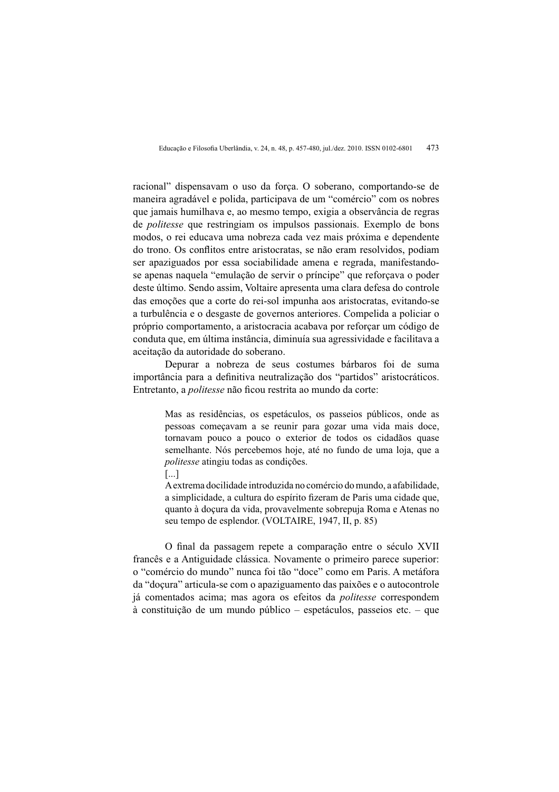racional" dispensavam o uso da força. O soberano, comportando-se de maneira agradável e polida, participava de um "comércio" com os nobres que jamais humilhava e, ao mesmo tempo, exigia a observância de regras de *politesse* que restringiam os impulsos passionais. Exemplo de bons modos, o rei educava uma nobreza cada vez mais próxima e dependente do trono. Os conflitos entre aristocratas, se não eram resolvidos, podiam ser apaziguados por essa sociabilidade amena e regrada, manifestandose apenas naquela "emulação de servir o príncipe" que reforçava o poder deste último. Sendo assim. Voltaire apresenta uma clara defesa do controle das emoções que a corte do rei-sol impunha aos aristocratas, evitando-se a turbulência e o desgaste de governos anteriores. Compelida a policiar o próprio comportamento, a aristocracia acabava por reforcar um código de conduta que, em última instância, diminuía sua agressividade e facilitava a aceitação da autoridade do soberano.

Depurar a nobreza de seus costumes bárbaros foi de suma importância para a definitiva neutralização dos "partidos" aristocráticos. Entretanto, a *politesse* não ficou restrita ao mundo da corte:

> Mas as residências, os espetáculos, os passeios públicos, onde as pessoas começavam a se reunir para gozar uma vida mais doce, tornavam pouco a pouco o exterior de todos os cidadãos quase semelhante. Nós percebemos hoje, até no fundo de uma loja, que a politesse atingiu todas as condições.  $\left[\ldots\right]$

> A extrema docilidade introduzida no comércio do mundo, a afabilidade, a simplicidade, a cultura do espírito fizeram de Paris uma cidade que, quanto à doçura da vida, provavelmente sobrepuja Roma e Atenas no seu tempo de esplendor. (VOLTAIRE, 1947, II, p. 85)

O final da passagem repete a comparação entre o século XVII francês e a Antiguidade clássica. Novamente o primeiro parece superior: o "comércio do mundo" nunca foi tão "doce" como em Paris. A metáfora da "docura" articula-se com o apaziguamento das paixões e o autocontrole iá comentados acima: mas agora os efeitos da *politesse* correspondem à constituição de um mundo público – espetáculos, passeios etc. – que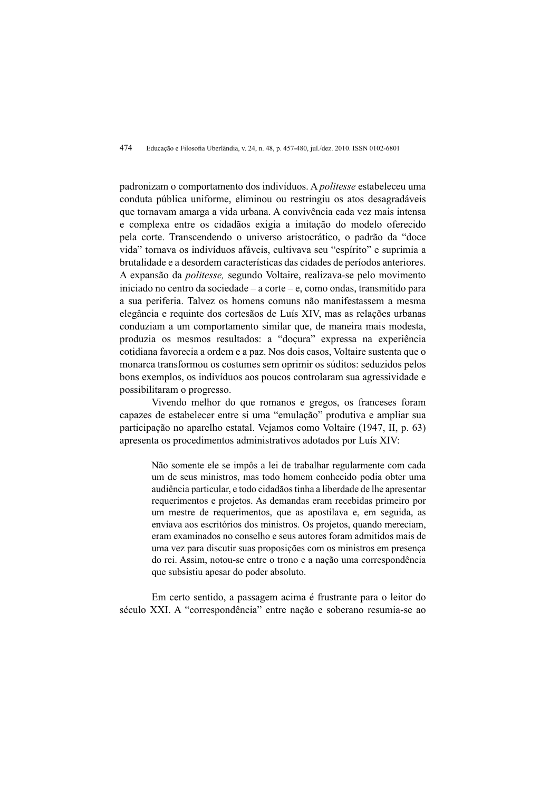padronizam o comportamento dos indivíduos. A *politesse* estabeleceu uma conduta pública uniforme, eliminou ou restringiu os atos desagradáveis que tornavam amarga a vida urbana. A convivência cada vez mais intensa e complexa entre os cidadãos exigia a imitação do modelo oferecido pela corte. Transcendendo o universo aristocrático, o padrão da "doce vida" tornava os indivíduos afáveis, cultivava seu "espírito" e suprimia a brutalidade e a desordem características das cidades de períodos anteriores. A expansão da *politesse*, segundo Voltaire, realizava-se pelo movimento iniciado no centro da sociedade  $-$ a corte $-$ e, como ondas, transmitido para a sua periferia. Talvez os homens comuns não manifestassem a mesma elegância e requinte dos cortesãos de Luís XIV, mas as relações urbanas conduziam a um comportamento similar que, de maneira mais modesta, produzia os mesmos resultados: a "doçura" expressa na experiência cotidiana favorecia a ordem e a paz. Nos dois casos. Voltaire sustenta que o monarca transformou os costumes sem oprimir os súditos: seduzidos pelos bons exemplos, os indivíduos aos poucos controlaram sua agressividade e possibilitaram o progresso.

Vivendo melhor do que romanos e gregos, os franceses foram capazes de estabelecer entre si uma "emulação" produtiva e ampliar sua participação no aparelho estatal. Veiamos como Voltaire (1947, II, p. 63) apresenta os procedimentos administrativos adotados por Luís XIV:

> Não somente ele se impôs a lei de trabalhar regularmente com cada um de seus ministros, mas todo homem conhecido podia obter uma audiência particular, e todo cidadãos tinha a liberdade de lhe apresentar requerimentos e projetos. As demandas eram recebidas primeiro por um mestre de requerimentos, que as apostilava e, em seguida, as enviava aos escritórios dos ministros. Os projetos, quando mereciam, eram examinados no conselho e seus autores foram admitidos mais de uma vez para discutir suas proposições com os ministros em presença do rei. Assim, notou-se entre o trono e a nação uma correspondência que subsistiu apesar do poder absoluto.

Em certo sentido, a passagem acima é frustrante para o leitor do século XXI. A "correspondência" entre nação e soberano resumia-se ao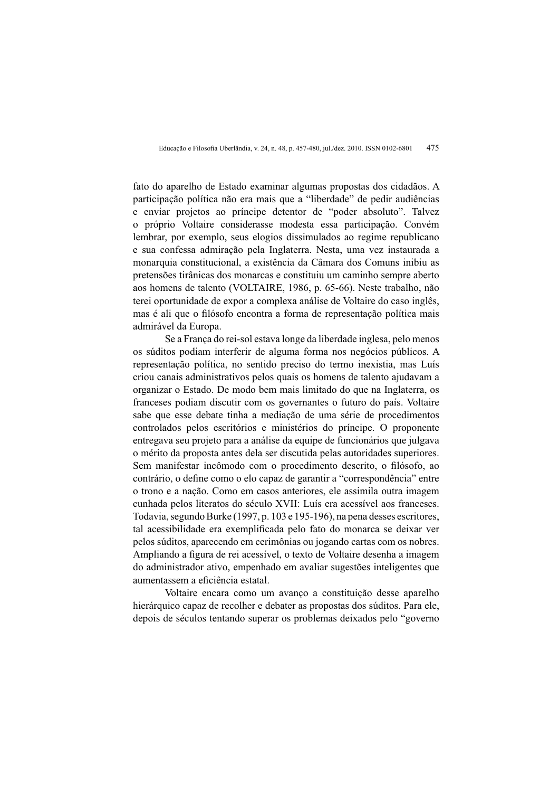fato do aparelho de Estado examinar algumas propostas dos cidadãos. A participação política não era mais que a "liberdade" de pedir audiências e enviar projetos ao príncipe detentor de "poder absoluto". Talvez o próprio Voltaire considerasse modesta essa participação. Convém lembrar, por exemplo, seus elogios dissimulados ao regime republicano e sua confessa admiração pela Inglaterra. Nesta, uma vez instaurada a monarquia constitucional, a existência da Câmara dos Comuns inibiu as pretensões tirânicas dos monarcas e constituiu um caminho sempre aberto aos homens de talento (VOLTAIRE, 1986, p. 65-66). Neste trabalho, não terei oportunidade de expor a complexa análise de Voltaire do caso inglês. mas é ali que o filósofo encontra a forma de representação política mais admirável da Europa.

Se a França do rei-sol estava longe da liberdade inglesa, pelo menos os súditos podiam interferir de alguma forma nos negócios públicos. A representação política, no sentido preciso do termo inexistia, mas Luís criou canais administrativos pelos quais os homens de talento ajudavam a organizar o Estado. De modo bem mais limitado do que na Inglaterra, os franceses podiam discutir com os governantes o futuro do país. Voltaire sabe que esse debate tinha a mediação de uma série de procedimentos controlados pelos escritórios e ministérios do príncipe. O proponente entregava seu projeto para a análise da equipe de funcionários que julgava o mérito da proposta antes dela ser discutida pelas autoridades superiores. Sem manifestar incômodo com o procedimento descrito, o filósofo, ao contrário, o define como o elo capaz de garantir a "correspondência" entre o trono e a nação. Como em casos anteriores, ele assimila outra imagem cunhada pelos literatos do século XVII: Luís era acessível aos franceses. Todavia, segundo Burke (1997, p. 103 e 195-196), na pena desses escritores, tal acessibilidade era exemplificada pelo fato do monarca se deixar ver pelos súditos, aparecendo em cerimônias ou jogando cartas com os nobres. Ampliando a figura de rei acessível, o texto de Voltaire desenha a imagem do administrador ativo, empenhado em avaliar sugestões inteligentes que aumentassem a eficiência estatal.

Voltaire encara como um avanco a constituição desse aparelho hierárquico capaz de recolher e debater as propostas dos súditos. Para ele, depois de séculos tentando superar os problemas deixados pelo "governo"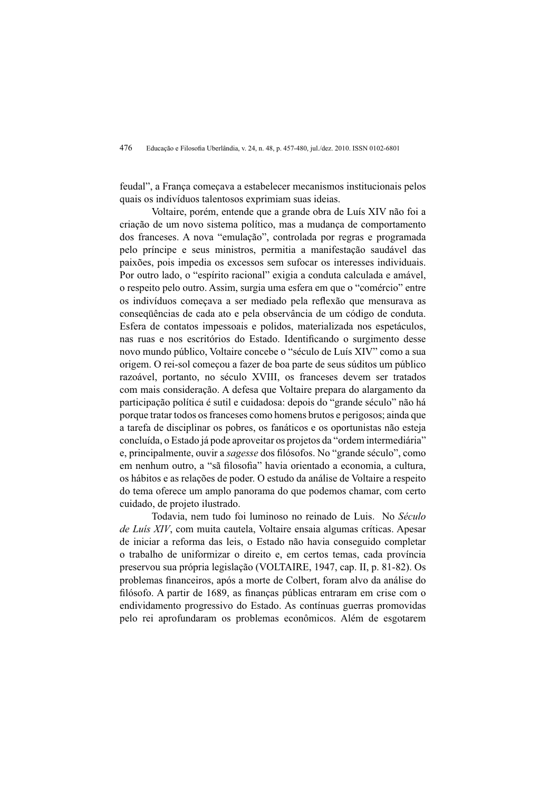feudal", a Franca comecava a estabelecer mecanismos institucionais pelos quais os indivíduos talentosos exprimiam suas ideias.

Voltaire, porém, entende que a grande obra de Luís XIV não foi a criação de um novo sistema político, mas a mudança de comportamento dos franceses. A nova "emulação", controlada por regras e programada pelo príncipe e seus ministros, permitia a manifestação saudável das paixões, pois impedia os excessos sem sufocar os interesses individuais. Por outro lado, o "espírito racional" exigia a conduta calculada e amável, o respeito pelo outro. Assim, surgia uma esfera em que o "comércio" entre os indivíduos comecava a ser mediado pela reflexão que mensurava as consequências de cada ato e pela observância de um código de conduta. Esfera de contatos impessoais e polidos, materializada nos espetáculos. nas ruas e nos escritórios do Estado. Identificando o surgimento desse novo mundo público, Voltaire concebe o "século de Luís XIV" como a sua origem. O rei-sol começou a fazer de boa parte de seus súditos um público razoável, portanto, no século XVIII, os franceses devem ser tratados com mais consideração. A defesa que Voltaire prepara do alargamento da participação política é sutil e cuidadosa: depois do "grande século" não há porque tratar todos os franceses como homens brutos e perigosos; ainda que a tarefa de disciplinar os pobres, os fanáticos e os oportunistas não esteja concluída, o Estado já pode aproveitar os projetos da "ordem intermediária" e, principalmente, ouvir a sagesse dos filósofos. No "grande século", como em nenhum outro, a "sã filosofia" havia orientado a economia, a cultura, os hábitos e as relações de poder. O estudo da análise de Voltaire a respeito do tema oferece um amplo panorama do que podemos chamar, com certo cuidado, de projeto ilustrado.

Todavia, nem tudo foi luminoso no reinado de Luis. No Século de Luís XIV, com muita cautela, Voltaire ensaia algumas críticas. Apesar de iniciar a reforma das leis, o Estado não havia conseguido completar o trabalho de uniformizar o direito e, em certos temas, cada província preservou sua própria legislação (VOLTAIRE, 1947, cap. II, p. 81-82). Os problemas financeiros, após a morte de Colbert, foram alvo da análise do filósofo. A partir de 1689, as financas públicas entraram em crise com o endividamento progressivo do Estado. As contínuas guerras promovidas pelo rei aprofundaram os problemas econômicos. Além de esgotarem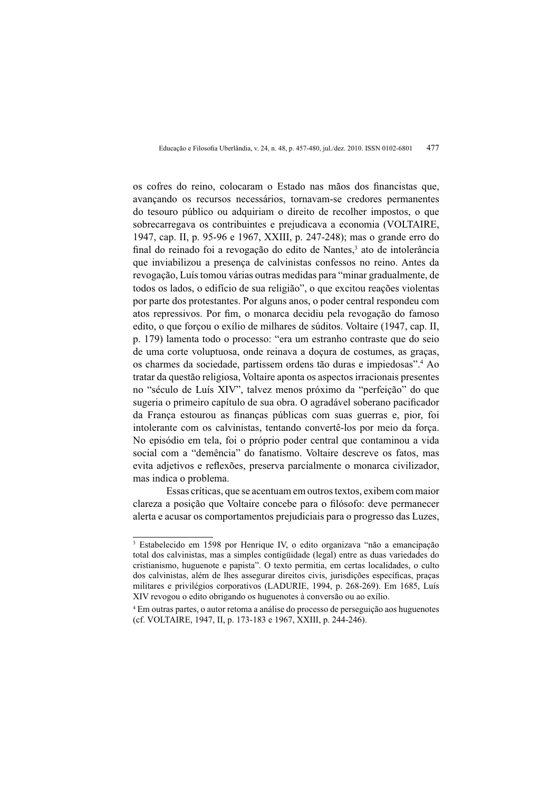os cofres do reino, colocaram o Estado nas mãos dos financistas que, avançando os recursos necessários, tornavam-se credores permanentes do tesouro público ou adquiriam o direito de recolher impostos, o que sobrecarregava os contribuintes e prejudicava a economia (VOLTAIRE, 1947, cap. II, p. 95-96 e 1967, XXIII, p. 247-248); mas o grande erro do final do reinado foi a revogação do edito de Nantes,<sup>3</sup> ato de intolerância que inviabilizou a presença de calvinistas confessos no reino. Antes da revogação, Luís tomou várias outras medidas para "minar gradualmente, de todos os lados, o edifício de sua religião", o que excitou reações violentas por parte dos protestantes. Por alguns anos, o poder central respondeu com atos repressivos. Por fim, o monarca decidiu pela revogação do famoso edito, o que forcou o exílio de milhares de súditos. Voltaire (1947, cap. II, p. 179) lamenta todo o processo: "era um estranho contraste que do seio de uma corte voluptuosa, onde reinava a doçura de costumes, as graças, os charmes da sociedade, partissem ordens tão duras e impiedosas".<sup>4</sup> Ao tratar da questão religiosa. Voltaire aponta os aspectos irracionais presentes no "século de Luís XIV", talvez menos próximo da "perfeição" do que sugeria o primeiro capítulo de sua obra. O agradável soberano pacificador da França estourou as finanças públicas com suas guerras e, pior, foi intolerante com os calvinistas, tentando convertê-los por meio da forca. No episódio em tela, foi o próprio poder central que contaminou a vida social com a "demência" do fanatismo. Voltaire descreve os fatos, mas evita adjetivos e reflexões, preserva parcialmente o monarca civilizador, mas indica o problema.

Essas críticas, que se acentuam em outros textos, exibem com maior clareza a posição que Voltaire concebe para o filósofo: deve permanecer alerta e acusar os comportamentos prejudiciais para o progresso das Luzes,

<sup>&</sup>lt;sup>3</sup> Estabelecido em 1598 por Henrique IV, o edito organizava "não a emancipação total dos calvinistas, mas a simples contigüidade (legal) entre as duas variedades do cristianismo, huguenote e papista". O texto permitia, em certas localidades, o culto dos calvinistas, além de lhes assegurar direitos civis, jurisdições específicas, pracas militares e privilégios corporativos (LADURIE, 1994, p. 268-269). Em 1685, Luís XIV revogou o edito obrigando os huguenotes à conversão ou ao exílio.

<sup>&</sup>lt;sup>4</sup> Em outras partes, o autor retoma a análise do processo de perseguição aos huguenotes (cf. VOLTAIRE, 1947, II, p. 173-183 e 1967, XXIII, p. 244-246).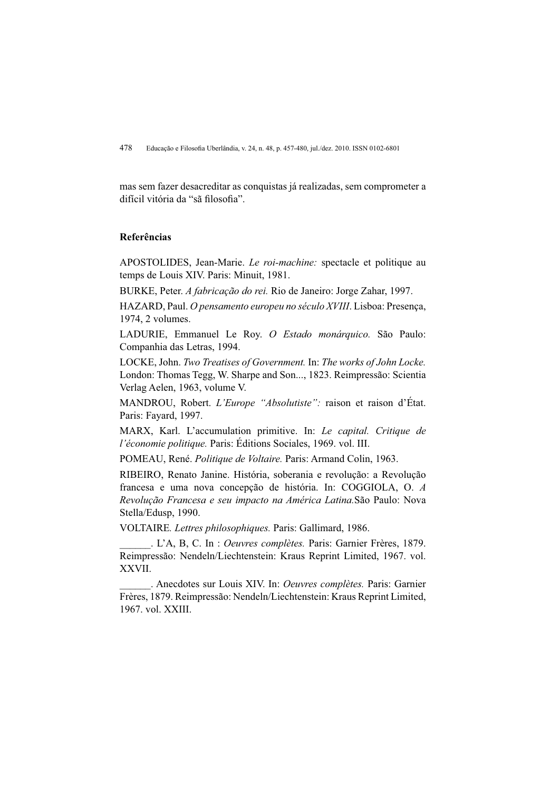mas sem fazer desacreditar as conquistas já realizadas, sem comprometer a difícil vitória da "sã filosofia".

## Referências

APOSTOLIDES, Jean-Marie. Le roi-machine: spectacle et politique au temps de Louis XIV. Paris: Minuit, 1981.

BURKE, Peter. A fabricação do rei. Rio de Janeiro: Jorge Zahar, 1997.

HAZARD, Paul. O pensamento europeu no século XVIII. Lisboa: Presença, 1974, 2 volumes.

LADURIE, Emmanuel Le Roy. O Estado monárquico. São Paulo: Companhia das Letras, 1994.

LOCKE, John. Two Treatises of Government. In: The works of John Locke. London: Thomas Tegg, W. Sharpe and Son..., 1823. Reimpressão: Scientia Verlag Aelen, 1963, volume V.

MANDROU, Robert. L'Europe "Absolutiste": raison et raison d'État. Paris: Fayard, 1997.

MARX, Karl. L'accumulation primitive. In: Le capital. Critique de l'économie politique. Paris: Éditions Sociales, 1969. vol. III.

POMEAU, René. Politique de Voltaire. Paris: Armand Colin, 1963.

RIBEIRO, Renato Janine. História, soberania e revolução: a Revolução francesa e uma nova concepção de história. In: COGGIOLA, O. A Revolução Francesa e seu impacto na América Latina. São Paulo: Nova Stella/Edusp, 1990.

VOLTAIRE. Lettres philosophiques. Paris: Gallimard, 1986.

. L'A, B, C. In : Oeuvres complètes. Paris: Garnier Frères, 1879. Reimpressão: Nendeln/Liechtenstein: Kraus Reprint Limited, 1967. vol. XXVII.

. Anecdotes sur Louis XIV. In: Oeuvres complètes. Paris: Garnier Frères, 1879. Reimpressão: Nendeln/Liechtenstein: Kraus Reprint Limited, 1967. vol. XXIII.